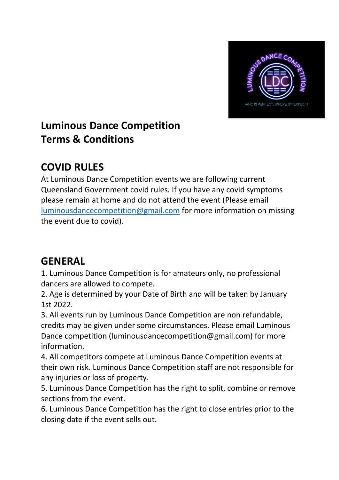

# **Luminous Dance Competition Terms & Conditions**

## **COVID RULES**

At Luminous Dance Competition events we are following current Queensland Government covid rules. If you have any covid symptoms please remain at home and do not attend the event (Please email [luminousdancecompetition@gmail.com](mailto:luminousdancecompetition@gmail.com) for more information on missing the event due to covid).

## **GENERAL**

1. Luminous Dance Competition is for amateurs only, no professional dancers are allowed to compete.

2. Age is determined by your Date of Birth and will be taken by January 1st 2022.

3. All events run by Luminous Dance Competition are non refundable, credits may be given under some circumstances. Please email Luminous Dance competition (luminousdancecompetition@gmail.com) for more information.

4. All competitors compete at Luminous Dance Competition events at their own risk. Luminous Dance Competition staff are not responsible for any injuries or loss of property.

5. Luminous Dance Competition has the right to split, combine or remove sections from the event.

6. Luminous Dance Competition has the right to close entries prior to the closing date if the event sells out.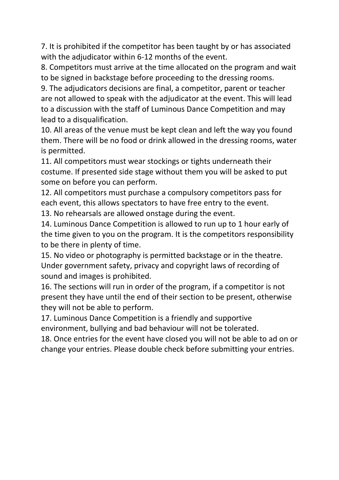7. It is prohibited if the competitor has been taught by or has associated with the adjudicator within 6-12 months of the event.

8. Competitors must arrive at the time allocated on the program and wait to be signed in backstage before proceeding to the dressing rooms.

9. The adjudicators decisions are final, a competitor, parent or teacher are not allowed to speak with the adjudicator at the event. This will lead to a discussion with the staff of Luminous Dance Competition and may lead to a disqualification.

10. All areas of the venue must be kept clean and left the way you found them. There will be no food or drink allowed in the dressing rooms, water is permitted.

11. All competitors must wear stockings or tights underneath their costume. If presented side stage without them you will be asked to put some on before you can perform.

12. All competitors must purchase a compulsory competitors pass for each event, this allows spectators to have free entry to the event.

13. No rehearsals are allowed onstage during the event.

14. Luminous Dance Competition is allowed to run up to 1 hour early of the time given to you on the program. It is the competitors responsibility to be there in plenty of time.

15. No video or photography is permitted backstage or in the theatre. Under government safety, privacy and copyright laws of recording of sound and images is prohibited.

16. The sections will run in order of the program, if a competitor is not present they have until the end of their section to be present, otherwise they will not be able to perform.

17. Luminous Dance Competition is a friendly and supportive

environment, bullying and bad behaviour will not be tolerated.

18. Once entries for the event have closed you will not be able to ad on or change your entries. Please double check before submitting your entries.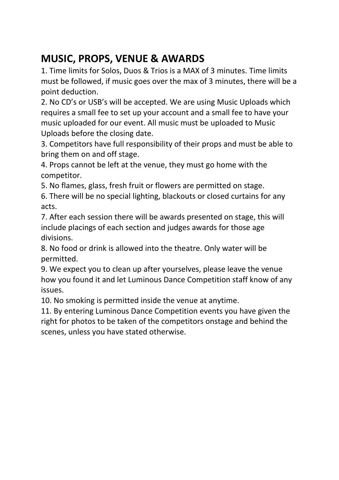# **MUSIC, PROPS, VENUE & AWARDS**

1. Time limits for Solos, Duos & Trios is a MAX of 3 minutes. Time limits must be followed, if music goes over the max of 3 minutes, there will be a point deduction.

2. No CD's or USB's will be accepted. We are using Music Uploads which requires a small fee to set up your account and a small fee to have your music uploaded for our event. All music must be uploaded to Music Uploads before the closing date.

3. Competitors have full responsibility of their props and must be able to bring them on and off stage.

4. Props cannot be left at the venue, they must go home with the competitor.

5. No flames, glass, fresh fruit or flowers are permitted on stage.

6. There will be no special lighting, blackouts or closed curtains for any acts.

7. After each session there will be awards presented on stage, this will include placings of each section and judges awards for those age divisions.

8. No food or drink is allowed into the theatre. Only water will be permitted.

9. We expect you to clean up after yourselves, please leave the venue how you found it and let Luminous Dance Competition staff know of any issues.

10. No smoking is permitted inside the venue at anytime.

11. By entering Luminous Dance Competition events you have given the right for photos to be taken of the competitors onstage and behind the scenes, unless you have stated otherwise.